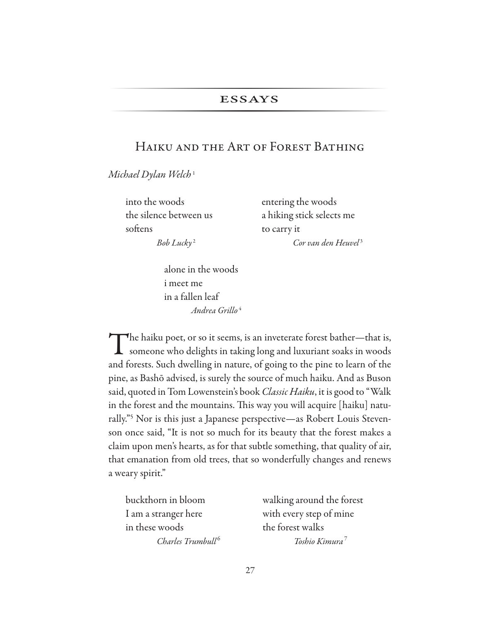### **ESSAYS**

## Haiku and the Art of Forest Bathing

*Michael Dylan Welch* <sup>1</sup>

into the woods entering the woods softens to carry it

the silence between us a hiking stick selects me *Bob Lucky* 2 *Cor van den Heuvel* <sup>3</sup>

> alone in the woods i meet me in a fallen leaf  *Andrea Grillo* <sup>4</sup>

The haiku poet, or so it seems, is an inveterate forest bather—that is,<br>someone who delights in taking long and luxuriant soaks in woods and forests. Such dwelling in nature, of going to the pine to learn of the pine, as Bashō advised, is surely the source of much haiku. And as Buson said, quoted in Tom Lowenstein's book *Classic Haiku*, it is good to "Walk in the forest and the mountains. This way you will acquire [haiku] naturally."5 Nor is this just a Japanese perspective—as Robert Louis Stevenson once said, "It is not so much for its beauty that the forest makes a claim upon men's hearts, as for that subtle something, that quality of air, that emanation from old trees, that so wonderfully changes and renews a weary spirit."

I am a stranger here with every step of mine in these woods the forest walks *Charles Trumbull* <sup>6</sup>

buckthorn in bloom walking around the forest *Toshio Kimura* <sup>7</sup>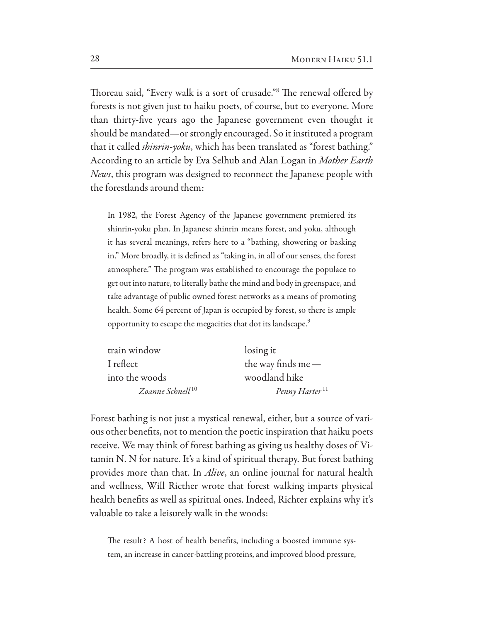Thoreau said, "Every walk is a sort of crusade." The renewal offered by forests is not given just to haiku poets, of course, but to everyone. More than thirty-fve years ago the Japanese government even thought it should be mandated—or strongly encouraged. So it instituted a program that it called *shinrin-yoku*, which has been translated as "forest bathing." According to an article by Eva Selhub and Alan Logan in *Mother Earth News*, this program was designed to reconnect the Japanese people with the forestlands around them:

In 1982, the Forest Agency of the Japanese government premiered its shinrin-yoku plan. In Japanese shinrin means forest, and yoku, although it has several meanings, refers here to a "bathing, showering or basking in." More broadly, it is defned as "taking in, in all of our senses, the forest atmosphere." The program was established to encourage the populace to get out into nature, to literally bathe the mind and body in greenspace, and take advantage of public owned forest networks as a means of promoting health. Some 64 percent of Japan is occupied by forest, so there is ample opportunity to escape the megacities that dot its landscape.<sup>9</sup>

| train window                 | losing it                  |
|------------------------------|----------------------------|
| I reflect                    | the way finds me $-$       |
| into the woods               | woodland hike              |
| Zoanne Schnell <sup>10</sup> | Penny Harter <sup>11</sup> |

Forest bathing is not just a mystical renewal, either, but a source of various other benefts, not to mention the poetic inspiration that haiku poets receive. We may think of forest bathing as giving us healthy doses of Vitamin N. N for nature. It's a kind of spiritual therapy. But forest bathing provides more than that. In *Alive*, an online journal for natural health and wellness, Will Ricther wrote that forest walking imparts physical health benefts as well as spiritual ones. Indeed, Richter explains why it's valuable to take a leisurely walk in the woods:

The result? A host of health benefits, including a boosted immune system, an increase in cancer-battling proteins, and improved blood pressure,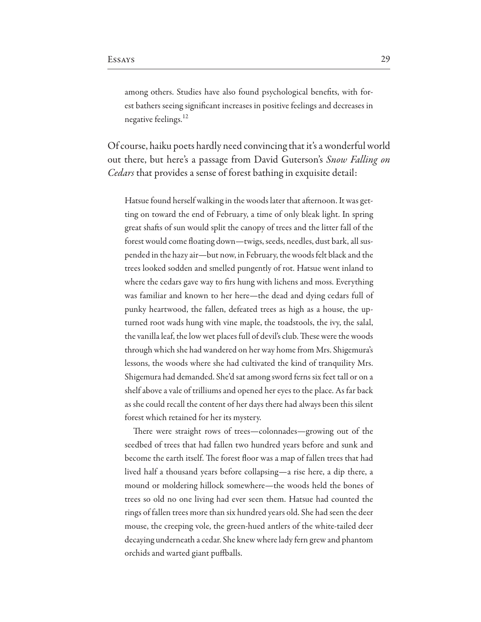among others. Studies have also found psychological benefts, with forest bathers seeing signifcant increases in positive feelings and decreases in negative feelings.<sup>12</sup>

Of course, haiku poets hardly need convincing that it's a wonderful world out there, but here's a passage from David Guterson's *Snow Falling on Cedars* that provides a sense of forest bathing in exquisite detail:

Hatsue found herself walking in the woods later that afternoon. It was getting on toward the end of February, a time of only bleak light. In spring great shafs of sun would split the canopy of trees and the litter fall of the forest would come foating down—twigs, seeds, needles, dust bark, all suspended in the hazy air—but now, in February, the woods felt black and the trees looked sodden and smelled pungently of rot. Hatsue went inland to where the cedars gave way to frs hung with lichens and moss. Everything was familiar and known to her here—the dead and dying cedars full of punky heartwood, the fallen, defeated trees as high as a house, the upturned root wads hung with vine maple, the toadstools, the ivy, the salal, the vanilla leaf, the low wet places full of devil's club. These were the woods through which she had wandered on her way home from Mrs. Shigemura's lessons, the woods where she had cultivated the kind of tranquility Mrs. Shigemura had demanded. She'd sat among sword ferns six feet tall or on a shelf above a vale of trilliums and opened her eyes to the place. As far back as she could recall the content of her days there had always been this silent forest which retained for her its mystery.

There were straight rows of trees—colonnades—growing out of the seedbed of trees that had fallen two hundred years before and sunk and become the earth itself. The forest floor was a map of fallen trees that had lived half a thousand years before collapsing—a rise here, a dip there, a mound or moldering hillock somewhere—the woods held the bones of trees so old no one living had ever seen them. Hatsue had counted the rings of fallen trees more than six hundred years old. She had seen the deer mouse, the creeping vole, the green-hued antlers of the white-tailed deer decaying underneath a cedar. She knew where lady fern grew and phantom orchids and warted giant puffballs.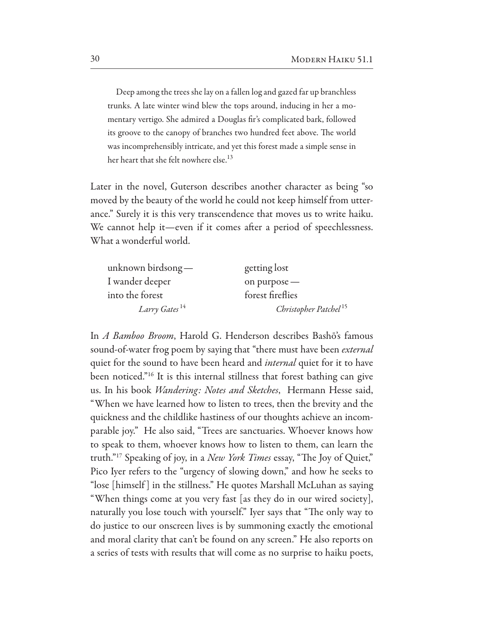Deep among the trees she lay on a fallen log and gazed far up branchless trunks. A late winter wind blew the tops around, inducing in her a momentary vertigo. She admired a Douglas fr's complicated bark, followed its groove to the canopy of branches two hundred feet above. The world was incomprehensibly intricate, and yet this forest made a simple sense in her heart that she felt nowhere else.<sup>13</sup>

Later in the novel, Guterson describes another character as being "so moved by the beauty of the world he could not keep himself from utterance." Surely it is this very transcendence that moves us to write haiku. We cannot help it—even if it comes after a period of speechlessness. What a wonderful world.

| unknown birdsong $-$      | getting lost                      |
|---------------------------|-----------------------------------|
| I wander deeper           | on purpose -                      |
| into the forest           | forest fireflies                  |
| Larry Gates <sup>14</sup> | Christopher Patchel <sup>15</sup> |

In *A Bamboo Broom*, Harold G. Henderson describes Bashō's famous sound-of-water frog poem by saying that "there must have been *external*  quiet for the sound to have been heard and *internal* quiet for it to have been noticed."16 It is this internal stillness that forest bathing can give us. In his book *Wandering: Notes and Sketches*, Hermann Hesse said, "When we have learned how to listen to trees, then the brevity and the quickness and the childlike hastiness of our thoughts achieve an incomparable joy." He also said, "Trees are sanctuaries. Whoever knows how to speak to them, whoever knows how to listen to them, can learn the truth."<sup>17</sup> Speaking of joy, in a *New York Times* essay, "The Joy of Quiet," Pico Iyer refers to the "urgency of slowing down," and how he seeks to "lose [himself ] in the stillness." He quotes Marshall McLuhan as saying "When things come at you very fast [as they do in our wired society], naturally you lose touch with yourself." Iyer says that "The only way to do justice to our onscreen lives is by summoning exactly the emotional and moral clarity that can't be found on any screen." He also reports on a series of tests with results that will come as no surprise to haiku poets,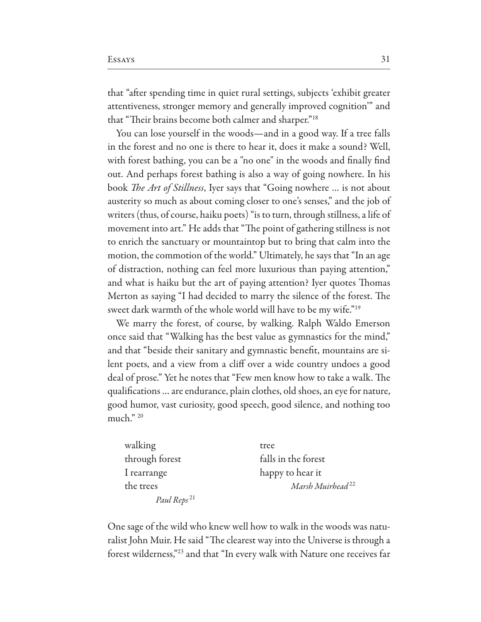that "after spending time in quiet rural settings, subjects 'exhibit greater attentiveness, stronger memory and generally improved cognition'" and that "Their brains become both calmer and sharper."<sup>18</sup>

You can lose yourself in the woods—and in a good way. If a tree falls in the forest and no one is there to hear it, does it make a sound? Well, with forest bathing, you can be a "no one" in the woods and fnally fnd out. And perhaps forest bathing is also a way of going nowhere. In his book T*e Art of Stillness*, Iyer says that "Going nowhere … is not about austerity so much as about coming closer to one's senses," and the job of writers (thus, of course, haiku poets) "is to turn, through stillness, a life of movement into art." He adds that "The point of gathering stillness is not to enrich the sanctuary or mountaintop but to bring that calm into the motion, the commotion of the world." Ultimately, he says that "In an age of distraction, nothing can feel more luxurious than paying attention," and what is haiku but the art of paying attention? Iyer quotes Thomas Merton as saying "I had decided to marry the silence of the forest. The sweet dark warmth of the whole world will have to be my wife."19

We marry the forest, of course, by walking. Ralph Waldo Emerson once said that "Walking has the best value as gymnastics for the mind," and that "beside their sanitary and gymnastic beneft, mountains are silent poets, and a view from a clif over a wide country undoes a good deal of prose." Yet he notes that "Few men know how to take a walk. The qualifcations … are endurance, plain clothes, old shoes, an eye for nature, good humor, vast curiosity, good speech, good silence, and nothing too much." 20

| walking                 | tree                         |
|-------------------------|------------------------------|
| through forest          | falls in the forest          |
| I rearrange             | happy to hear it             |
| the trees               | Marsh Muirhead <sup>22</sup> |
| Paul Reps <sup>21</sup> |                              |

One sage of the wild who knew well how to walk in the woods was naturalist John Muir. He said "The clearest way into the Universe is through a forest wilderness,"23 and that "In every walk with Nature one receives far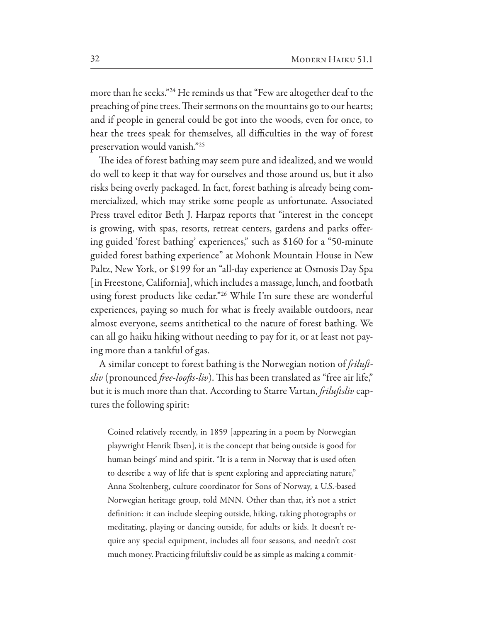more than he seeks."24 He reminds us that "Few are altogether deaf to the preaching of pine trees. Their sermons on the mountains go to our hearts; and if people in general could be got into the woods, even for once, to hear the trees speak for themselves, all difficulties in the way of forest preservation would vanish."25

The idea of forest bathing may seem pure and idealized, and we would do well to keep it that way for ourselves and those around us, but it also risks being overly packaged. In fact, forest bathing is already being commercialized, which may strike some people as unfortunate. Associated Press travel editor Beth J. Harpaz reports that "interest in the concept is growing, with spas, resorts, retreat centers, gardens and parks ofering guided 'forest bathing' experiences," such as \$160 for a "50-minute guided forest bathing experience" at Mohonk Mountain House in New Paltz, New York, or \$199 for an "all-day experience at Osmosis Day Spa [in Freestone, California], which includes a massage, lunch, and footbath using forest products like cedar."26 While I'm sure these are wonderful experiences, paying so much for what is freely available outdoors, near almost everyone, seems antithetical to the nature of forest bathing. We can all go haiku hiking without needing to pay for it, or at least not paying more than a tankful of gas.

A similar concept to forest bathing is the Norwegian notion of f*ilu*f*sliv* (pronounced *free-loofts-liv*). This has been translated as "free air life," but it is much more than that. According to Starre Vartan, f*ilu*f*sliv* captures the following spirit:

Coined relatively recently, in 1859 [appearing in a poem by Norwegian playwright Henrik Ibsen], it is the concept that being outside is good for human beings' mind and spirit. "It is a term in Norway that is used often to describe a way of life that is spent exploring and appreciating nature," Anna Stoltenberg, culture coordinator for Sons of Norway, a U.S.-based Norwegian heritage group, told MNN. Other than that, it's not a strict defnition: it can include sleeping outside, hiking, taking photographs or meditating, playing or dancing outside, for adults or kids. It doesn't require any special equipment, includes all four seasons, and needn't cost much money. Practicing frilufsliv could be as simple as making a commit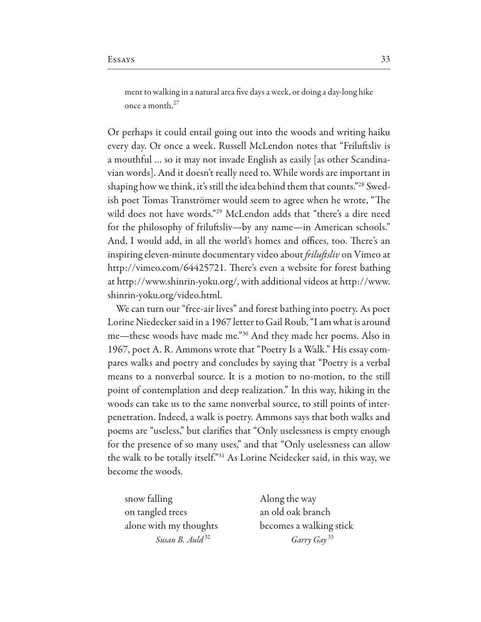ment to walking in a natural area fve days a week, or doing a day-long hike once a month. 27

Or perhaps it could entail going out into the woods and writing haiku every day. Or once a week. Russell McLendon notes that "Frilufsliv is a mouthful … so it may not invade English as easily [as other Scandinavian words]. And it doesn't really need to. While words are important in shaping how we think, it's still the idea behind them that counts."<sup>28</sup> Swedish poet Tomas Tranströmer would seem to agree when he wrote, "The wild does not have words."29 McLendon adds that "there's a dire need for the philosophy of frilufsliv—by any name—in American schools." And, I would add, in all the world's homes and offices, too. There's an inspiring eleven-minute documentary video about f*ilu*f*sliv* on Vimeo at http://vimeo.com/64425721. There's even a website for forest bathing at http://www.shinrin-yoku.org/, with additional videos at http://www. shinrin-yoku.org/video.html.

We can turn our "free-air lives" and forest bathing into poetry. As poet Lorine Niedecker said in a 1967 letter to Gail Roub, "I am what is around me—these woods have made me."30 And they made her poems. Also in 1967, poet A. R. Ammons wrote that "Poetry Is a Walk." His essay compares walks and poetry and concludes by saying that "Poetry is a verbal means to a nonverbal source. It is a motion to no-motion, to the still point of contemplation and deep realization." In this way, hiking in the woods can take us to the same nonverbal source, to still points of interpenetration. Indeed, a walk is poetry. Ammons says that both walks and poems are "useless," but clarifes that "Only uselessness is empty enough for the presence of so many uses," and that "Only uselessness can allow the walk to be totally itself."31 As Lorine Neidecker said, in this way, we become the woods.

snow falling a control of the way on tangled trees an old oak branch

alone with my thoughts becomes a walking stick *Susan B. Auld* 32 *Garry Gay* <sup>33</sup>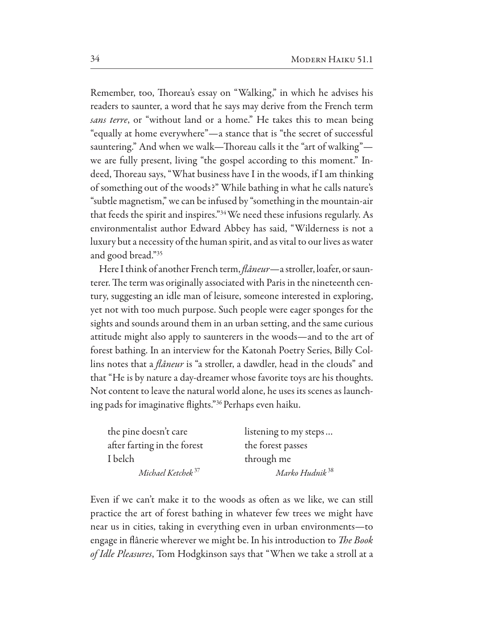Remember, too, Thoreau's essay on "Walking," in which he advises his readers to saunter, a word that he says may derive from the French term *sans terre*, or "without land or a home." He takes this to mean being "equally at home everywhere"—a stance that is "the secret of successful sauntering." And when we walk—Thoreau calls it the "art of walking" we are fully present, living "the gospel according to this moment." Indeed, Thoreau says, "What business have I in the woods, if I am thinking of something out of the woods?" While bathing in what he calls nature's "subtle magnetism," we can be infused by "something in the mountain-air that feeds the spirit and inspires."34 We need these infusions regularly. As environmentalist author Edward Abbey has said, "Wilderness is not a luxury but a necessity of the human spirit, and as vital to our lives as water and good bread."35

Here I think of another French term, f*âneur*—a stroller, loafer, or saunterer. The term was originally associated with Paris in the nineteenth century, suggesting an idle man of leisure, someone interested in exploring, yet not with too much purpose. Such people were eager sponges for the sights and sounds around them in an urban setting, and the same curious attitude might also apply to saunterers in the woods—and to the art of forest bathing. In an interview for the Katonah Poetry Series, Billy Collins notes that a f*âneur* is "a stroller, a dawdler, head in the clouds" and that "He is by nature a day-dreamer whose favorite toys are his thoughts. Not content to leave the natural world alone, he uses its scenes as launching pads for imaginative fights."36 Perhaps even haiku.

| the pine doesn't care         | listening to my steps      |
|-------------------------------|----------------------------|
| after farting in the forest   | the forest passes          |
| I belch                       | through me                 |
| Michael Ketchek <sup>37</sup> | Marko Hudnik <sup>38</sup> |

Even if we can't make it to the woods as often as we like, we can still practice the art of forest bathing in whatever few trees we might have near us in cities, taking in everything even in urban environments—to engage in fânerie wherever we might be. In his introduction to T*e Book of Idle Pleasures*, Tom Hodgkinson says that "When we take a stroll at a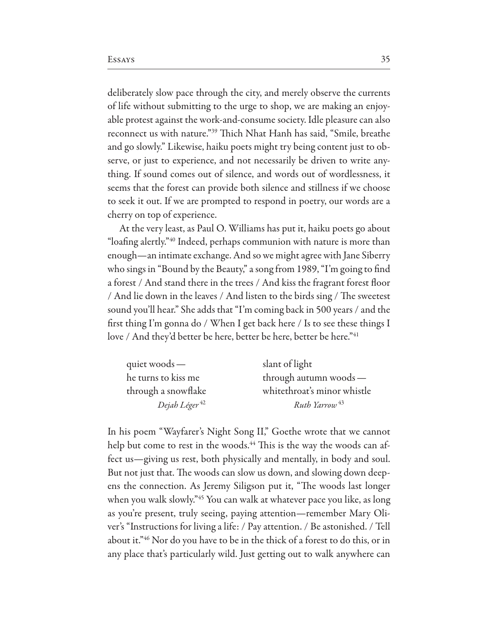deliberately slow pace through the city, and merely observe the currents of life without submitting to the urge to shop, we are making an enjoyable protest against the work-and-consume society. Idle pleasure can also reconnect us with nature."<sup>39</sup> Thich Nhat Hanh has said, "Smile, breathe and go slowly." Likewise, haiku poets might try being content just to observe, or just to experience, and not necessarily be driven to write anything. If sound comes out of silence, and words out of wordlessness, it seems that the forest can provide both silence and stillness if we choose to seek it out. If we are prompted to respond in poetry, our words are a cherry on top of experience.

At the very least, as Paul O. Williams has put it, haiku poets go about "loafng alertly."40 Indeed, perhaps communion with nature is more than enough—an intimate exchange. And so we might agree with Jane Siberry who sings in "Bound by the Beauty," a song from 1989, "I'm going to fnd a forest / And stand there in the trees / And kiss the fragrant forest foor / And lie down in the leaves / And listen to the birds sing / The sweetest sound you'll hear." She adds that "I'm coming back in 500 years / and the frst thing I'm gonna do / When I get back here / Is to see these things I love / And they'd better be here, better be here, better be here."<sup>41</sup>

| quiet woods $-$           | slant of light              |
|---------------------------|-----------------------------|
| he turns to kiss me       | through autumn woods-       |
| through a snowflake       | whitethroat's minor whistle |
| Dejah Léger <sup>42</sup> | Ruth Yarrow <sup>43</sup>   |

In his poem "Wayfarer's Night Song II," Goethe wrote that we cannot help but come to rest in the woods.<sup>44</sup> This is the way the woods can affect us—giving us rest, both physically and mentally, in body and soul. But not just that. The woods can slow us down, and slowing down deepens the connection. As Jeremy Siligson put it, "The woods last longer when you walk slowly."45 You can walk at whatever pace you like, as long as you're present, truly seeing, paying attention—remember Mary Oliver's "Instructions for living a life: / Pay attention. / Be astonished. / Tell about it."46 Nor do you have to be in the thick of a forest to do this, or in any place that's particularly wild. Just getting out to walk anywhere can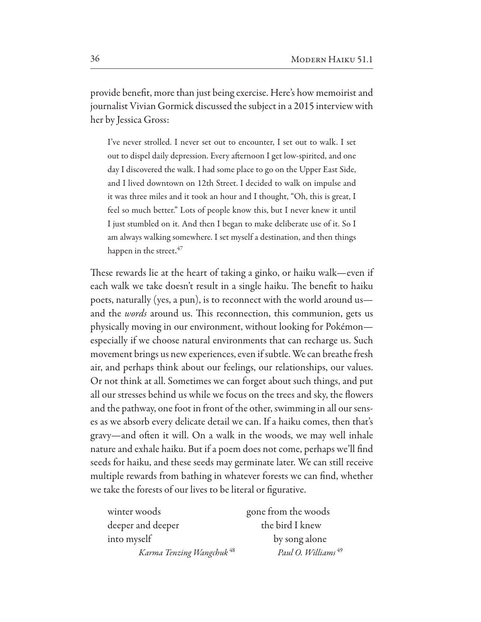provide beneft, more than just being exercise. Here's how memoirist and journalist Vivian Gormick discussed the subject in a 2015 interview with her by Jessica Gross:

I've never strolled. I never set out to encounter, I set out to walk. I set out to dispel daily depression. Every afernoon I get low-spirited, and one day I discovered the walk. I had some place to go on the Upper East Side, and I lived downtown on 12th Street. I decided to walk on impulse and it was three miles and it took an hour and I thought, "Oh, this is great, I feel so much better." Lots of people know this, but I never knew it until I just stumbled on it. And then I began to make deliberate use of it. So I am always walking somewhere. I set myself a destination, and then things happen in the street.<sup>47</sup>

These rewards lie at the heart of taking a ginko, or haiku walk—even if each walk we take doesn't result in a single haiku. The benefit to haiku poets, naturally (yes, a pun), is to reconnect with the world around us and the *words* around us. This reconnection, this communion, gets us physically moving in our environment, without looking for Pokémon especially if we choose natural environments that can recharge us. Such movement brings us new experiences, even if subtle. We can breathe fresh air, and perhaps think about our feelings, our relationships, our values. Or not think at all. Sometimes we can forget about such things, and put all our stresses behind us while we focus on the trees and sky, the fowers and the pathway, one foot in front of the other, swimming in all our senses as we absorb every delicate detail we can. If a haiku comes, then that's gravy—and ofen it will. On a walk in the woods, we may well inhale nature and exhale haiku. But if a poem does not come, perhaps we'll fnd seeds for haiku, and these seeds may germinate later. We can still receive multiple rewards from bathing in whatever forests we can fnd, whether we take the forests of our lives to be literal or fgurative.

| winter woods                         | gone from the woods            |
|--------------------------------------|--------------------------------|
| deeper and deeper                    | the bird I knew                |
| into myself                          | by song alone                  |
| Karma Tenzing Wangchuk <sup>48</sup> | Paul O. Williams <sup>49</sup> |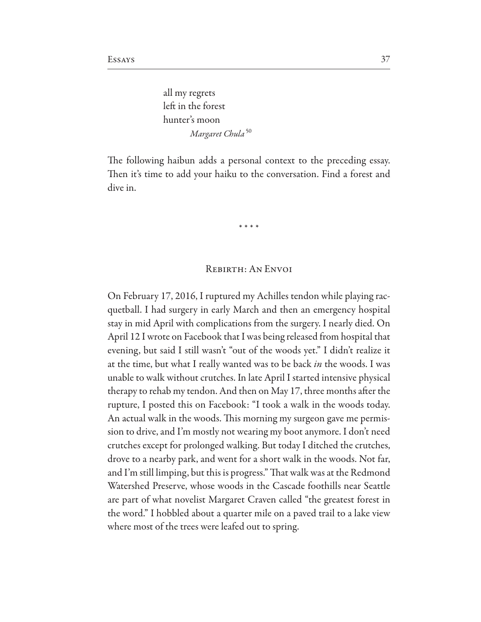all my regrets left in the forest hunter's moon  *Margaret Chula* 50

The following haibun adds a personal context to the preceding essay. Then it's time to add your haiku to the conversation. Find a forest and dive in.

# \* \* \* \*

### Rebirth: An Envoi

On February 17, 2016, I ruptured my Achilles tendon while playing racquetball. I had surgery in early March and then an emergency hospital stay in mid April with complications from the surgery. I nearly died. On April 12 I wrote on Facebook that I was being released from hospital that evening, but said I still wasn't "out of the woods yet." I didn't realize it at the time, but what I really wanted was to be back *in* the woods. I was unable to walk without crutches. In late April I started intensive physical therapy to rehab my tendon. And then on May 17, three months afer the rupture, I posted this on Facebook: "I took a walk in the woods today. An actual walk in the woods. This morning my surgeon gave me permission to drive, and I'm mostly not wearing my boot anymore. I don't need crutches except for prolonged walking. But today I ditched the crutches, drove to a nearby park, and went for a short walk in the woods. Not far, and I'm still limping, but this is progress." That walk was at the Redmond Watershed Preserve, whose woods in the Cascade foothills near Seattle are part of what novelist Margaret Craven called "the greatest forest in the word." I hobbled about a quarter mile on a paved trail to a lake view where most of the trees were leafed out to spring.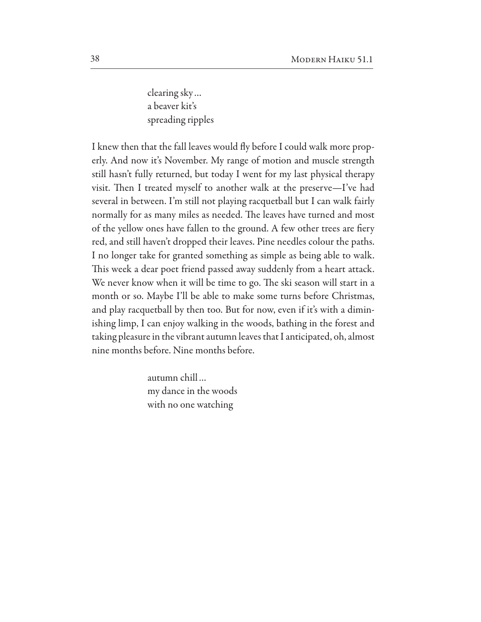clearing sky… a beaver kit's spreading ripples

I knew then that the fall leaves would fy before I could walk more properly. And now it's November. My range of motion and muscle strength still hasn't fully returned, but today I went for my last physical therapy visit. Then I treated myself to another walk at the preserve—I've had several in between. I'm still not playing racquetball but I can walk fairly normally for as many miles as needed. The leaves have turned and most of the yellow ones have fallen to the ground. A few other trees are fery red, and still haven't dropped their leaves. Pine needles colour the paths. I no longer take for granted something as simple as being able to walk. This week a dear poet friend passed away suddenly from a heart attack. We never know when it will be time to go. The ski season will start in a month or so. Maybe I'll be able to make some turns before Christmas, and play racquetball by then too. But for now, even if it's with a diminishing limp, I can enjoy walking in the woods, bathing in the forest and taking pleasure in the vibrant autumn leaves that I anticipated, oh, almost nine months before. Nine months before.

> autumn chill… my dance in the woods with no one watching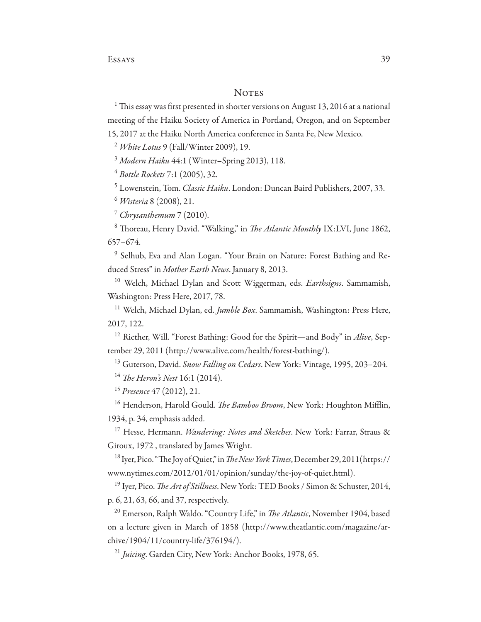#### **NOTES**

 $1$  This essay was first presented in shorter versions on August 13, 2016 at a national meeting of the Haiku Society of America in Portland, Oregon, and on September 15, 2017 at the Haiku North America conference in Santa Fe, New Mexico.

<sup>2</sup> *White Lotus* 9 (Fall/Winter 2009), 19.

<sup>3</sup> *Modern Haiku* 44:1 (Winter–Spring 2013), 118.

<sup>4</sup> *Bottle Rockets* 7:1 (2005), 32.

<sup>5</sup> Lowenstein, Tom. *Classic Haiku*. London: Duncan Baird Publishers, 2007, 33.

<sup>6</sup> *Wisteria* 8 (2008), 21.

<sup>7</sup> *Chrysanthemum* 7 (2010).

<sup>8</sup> Thoreau, Henry David. "Walking," in *The Atlantic Monthly* IX:LVI, June 1862, 657–674.

<sup>9</sup> Selhub, Eva and Alan Logan. "Your Brain on Nature: Forest Bathing and Reduced Stress" in *Mother Earth News*. January 8, 2013.

<sup>10</sup> Welch, Michael Dylan and Scott Wiggerman, eds. *Earthsigns*. Sammamish, Washington: Press Here, 2017, 78.

<sup>11</sup> Welch, Michael Dylan, ed. *Jumble Box*. Sammamish, Washington: Press Here, 2017, 122.

<sup>12</sup> Ricther, Will. "Forest Bathing: Good for the Spirit—and Body" in *Alive*, September 29, 2011 (http://www.alive.com/health/forest-bathing/).

<sup>13</sup> Guterson, David. *Snow Falling on Cedars*. New York: Vintage, 1995, 203–204.

<sup>14</sup> T*e Heron's Nest* 16:1 (2014).

<sup>15</sup> *Presence* 47 (2012), 21.

<sup>16</sup> Henderson, Harold Gould. *The Bamboo Broom*, New York: Houghton Mifflin, 1934, p. 34, emphasis added.

<sup>17</sup> Hesse, Hermann. *Wandering: Notes and Sketches*. New York: Farrar, Straus & Giroux, 1972 , translated by James Wright.

<sup>18</sup> Iyer, Pico. "The Joy of Quiet," in *The New York Times*, December 29, 2011(https:// www.nytimes.com/2012/01/01/opinion/sunday/the-joy-of-quiet.html).

<sup>19</sup> Iyer, Pico. T*e Art of Stillness*. New York: TED Books / Simon & Schuster, 2014, p. 6, 21, 63, 66, and 37, respectively.

<sup>20</sup> Emerson, Ralph Waldo. "Country Life," in *The Atlantic*, November 1904, based on a lecture given in March of 1858 (http://www.theatlantic.com/magazine/archive/1904/11/country-life/376194/).

<sup>21</sup> *Juicing*. Garden City, New York: Anchor Books, 1978, 65.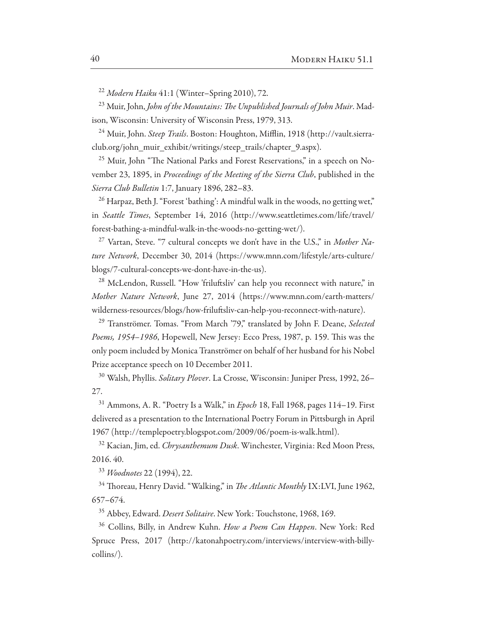<sup>22</sup> *Modern Haiku* 41:1 (Winter–Spring 2010), 72.

<sup>23</sup> Muir, John, *John of the Mountains:* T*e Unpublished Journals of John Muir*. Madison, Wisconsin: University of Wisconsin Press, 1979, 313.

<sup>24</sup> Muir, John. *Steep Trails*. Boston: Houghton, Mifflin, 1918 (http://vault.sierraclub.org/john\_muir\_exhibit/writings/steep\_trails/chapter\_9.aspx).

<sup>25</sup> Muir, John "The National Parks and Forest Reservations," in a speech on November 23, 1895, in *Proceedings of the Meeting of the Sierra Club*, published in the *Sierra Club Bulletin* 1:7, January 1896, 282–83.

 $^{26}$  Harpaz, Beth J. "Forest 'bathing': A mindful walk in the woods, no getting wet," in *Seattle Times*, September 14, 2016 (http://www.seattletimes.com/life/travel/ forest-bathing-a-mindful-walk-in-the-woods-no-getting-wet/).

<sup>27</sup> Vartan, Steve. "7 cultural concepts we don't have in the U.S.," in *Mother Nature Network*, December 30, 2014 (https://www.mnn.com/lifestyle/arts-culture/ blogs/7-cultural-concepts-we-dont-have-in-the-us).

<sup>28</sup> McLendon, Russell. "How 'friluftsliv' can help you reconnect with nature," in *Mother Nature Network*, June 27, 2014 (https://www.mnn.com/earth-matters/ wilderness-resources/blogs/how-frilufsliv-can-help-you-reconnect-with-nature).

<sup>29</sup> Tranströmer. Tomas. "From March '79," translated by John F. Deane, *Selected*  Poems, 1954–1986, Hopewell, New Jersey: Ecco Press, 1987, p. 159. This was the only poem included by Monica Tranströmer on behalf of her husband for his Nobel Prize acceptance speech on 10 December 2011.

<sup>30</sup> Walsh, Phyllis. *Solitary Plo*v*er*. La Crosse, Wisconsin: Juniper Press, 1992, 26– 27.

<sup>31</sup> Ammons, A. R. "Poetry Is a Walk," in *Epoch* 18, Fall 1968, pages 114–19. First delivered as a presentation to the International Poetry Forum in Pittsburgh in April 1967 (http://templepoetry.blogspot.com/2009/06/poem-is-walk.html).

<sup>32</sup> Kacian, Jim, ed. *Chrysanthemum Dusk*. Winchester, Virginia: Red Moon Press, 2016. 40.

<sup>33</sup> *Woodnotes* 22 (1994), 22.

<sup>34</sup> Thoreau, Henry David. "Walking," in *The Atlantic Monthly* IX:LVI, June 1962, 657–674.

<sup>35</sup> Abbey, Edward. *Desert Solitaire*. New York: Touchstone, 1968, 169.

<sup>36</sup> Collins, Billy, in Andrew Kuhn. *How a Poem Can Happen*. New York: Red Spruce Press, 2017 (http://katonahpoetry.com/interviews/interview-with-billycollins/).